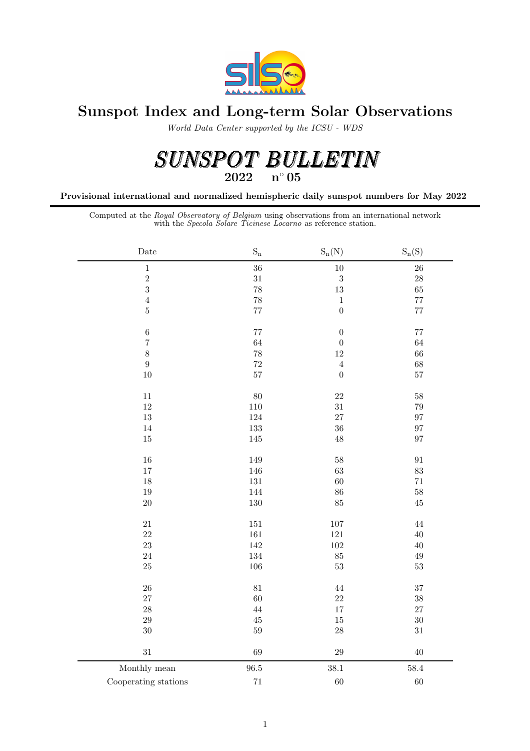

## Sunspot Index and Long-term Solar Observations

World Data Center supported by the ICSU - WDS

# $\begin{array}{lllllll} SUMSPOT & BULLETIN \\ \textcolor{red}{2022} & \textcolor{red}{\textbf{n}^{\circ}05} \end{array}$

Provisional international and normalized hemispheric daily sunspot numbers for May 2022

Computed at the Royal Observatory of Belgium using observations from an international network with the Specola Solare Ticinese Locarno as reference station.

| $\rm{Date}$          | $\mathbf{S}_\mathrm{n}$ | $S_n(N)$         | $S_n(S)$    |
|----------------------|-------------------------|------------------|-------------|
| $\,1\,$              | 36                      | $10\,$           | 26          |
| $\sqrt{2}$           | $31\,$                  | $\boldsymbol{3}$ | $\sqrt{28}$ |
| $\overline{3}$       | 78                      | $13\,$           | 65          |
| $\overline{4}$       | 78                      | $\,1\,$          | $77\,$      |
| $\bf 5$              | $77\,$                  | $\overline{0}$   | $77\,$      |
| $\,$ 6 $\,$          | 77                      | $\boldsymbol{0}$ | $77\,$      |
| $\overline{7}$       | 64                      | $\boldsymbol{0}$ | $64\,$      |
| 8                    | $78\,$                  | $12\,$           | 66          |
| $\boldsymbol{9}$     | $\sqrt{72}$             | $\,4\,$          | 68          |
| $10\,$               | 57                      | $\boldsymbol{0}$ | $57\,$      |
| $11\,$               | 80                      | $22\,$           | $58\,$      |
| 12                   | $110\,$                 | $31\,$           | 79          |
| 13                   | $124\,$                 | $27\,$           | 97          |
| 14                   | 133                     | 36               | 97          |
| $15\,$               | $145\,$                 | $48\,$           | 97          |
| 16                   | 149                     | $58\,$           | $\rm 91$    |
| 17                   | 146                     | $63\,$           | $\bf 83$    |
| 18                   | $131\,$                 | $60\,$           | $71\,$      |
| 19                   | 144                     | $86\,$           | $58\,$      |
| $20\,$               | 130                     | $85\,$           | $45\,$      |
| $21\,$               | $151\,$                 | $107\,$          | $\sqrt{44}$ |
| $22\,$               | $161\,$                 | $121\,$          | 40          |
| 23                   | $142\,$                 | $102\,$          | $40\,$      |
| 24                   | 134                     | $85\,$           | $\rm 49$    |
| $25\,$               | $106\,$                 | $53\,$           | $53\,$      |
| ${\bf 26}$           | $81\,$                  | $44\,$           | $37\,$      |
| 27                   | 60                      | 22               | $38\,$      |
| 28                   | 44                      | $17\,$           | $27\,$      |
| $\,29$               | $\rm 45$                | $15\,$           | $30\,$      |
| 30                   | 59                      | $\sqrt{28}$      | $31\,$      |
| $31\,$               | 69                      | $\,29$           | 40          |
| Monthly mean         | 96.5                    | 38.1             | 58.4        |
| Cooperating stations | $71\,$                  | 60               | 60          |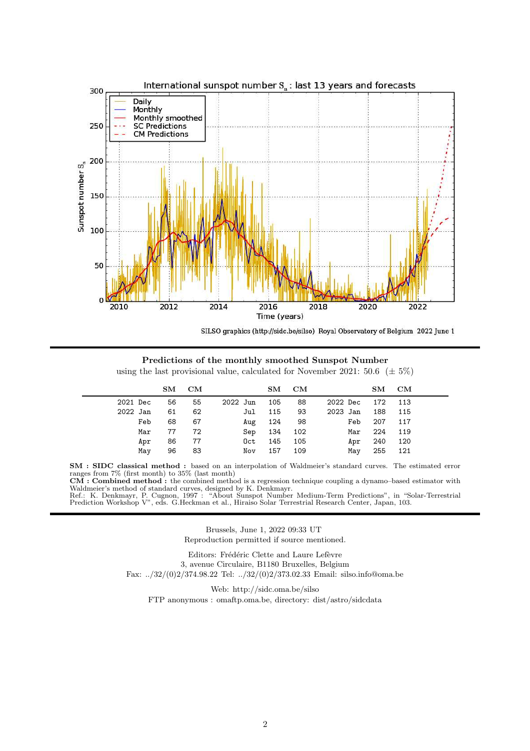

SILSO graphics (http://sidc.be/silso) Royal Observatory of Belgium 2022 June 1

Predictions of the monthly smoothed Sunspot Number using the last provisional value, calculated for November 2021: 50.6 ( $\pm$  5%)

|          | $\mathbf{S}\mathbf{M}$ | CM |          | $\mathbf{S}\mathbf{M}$ | $_{\rm CM}$ |          | SM  | CM      |  |
|----------|------------------------|----|----------|------------------------|-------------|----------|-----|---------|--|
| 2021 Dec | 56                     | 55 | 2022 Jun | 105                    | 88          | 2022 Dec |     | 172 113 |  |
| 2022 Jan | 61                     | 62 | Jul      | 115                    | 93          | 2023 Jan | 188 | 115     |  |
| Feb      | 68                     | 67 | Aug      | 124                    | - 98        | Feb      | 207 | 117     |  |
| Mar      | 77                     | 72 | Sep      | 134                    | 102         | Mar      | 224 | 119     |  |
| Apr      | 86                     | 77 | Oct      | 145                    | 105         | Apr      | 240 | 120     |  |
| May      | 96                     | 83 | Nov      | 157                    | 109         | May      | 255 | 121     |  |

SM : SIDC classical method : based on an interpolation of Waldmeier's standard curves. The estimated error ranges from 7% (first month) to 35% (last month)

CM : Combined method : the combined method is a regression technique coupling a dynamo–based estimator with Waldmeier's method of standard curves, designed by K. Denkmayr.

Ref.: K. Denkmayr, P. Cugnon, 1997 : "About Sunspot Number Medium-Term Predictions", in "Solar-Terrestrial Prediction Workshop V", eds. G.Heckman et al., Hiraiso Solar Terrestrial Research Center, Japan, 103.

> Brussels, June 1, 2022 09:33 UT Reproduction permitted if source mentioned.

Editors: Frédéric Clette and Laure Lefèvre 3, avenue Circulaire, B1180 Bruxelles, Belgium Fax: ../32/(0)2/374.98.22 Tel: ../32/(0)2/373.02.33 Email: silso.info@oma.be

Web: http://sidc.oma.be/silso

FTP anonymous : omaftp.oma.be, directory: dist/astro/sidcdata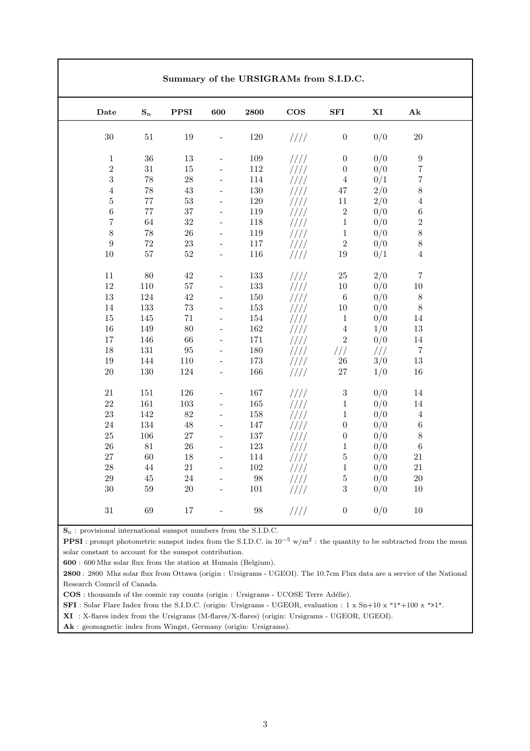| Date             | $\mathbf{S_{n}}$ | ${\bf PPSI}$ | 600                      | 2800    | $\cos$ | ${\bf SFI}$      | $\mathbf{X}\mathbf{I}$ | A <sub>k</sub>   |
|------------------|------------------|--------------|--------------------------|---------|--------|------------------|------------------------|------------------|
| $30\,$           | $51\,$           | 19           | $\overline{a}$           | 120     | 1111   | $\boldsymbol{0}$ | 0/0                    | $20\,$           |
| $\,1\,$          | $36\,$           | $13\,$       |                          | $109\,$ | 1111   | $\boldsymbol{0}$ | 0/0                    | $\boldsymbol{9}$ |
| $\sqrt{2}$       | $31\,$           | $15\,$       | $\blacksquare$           | $112\,$ | 1111   | $\boldsymbol{0}$ | 0/0                    | $\overline{7}$   |
| 3                | $78\,$           | 28           | $\frac{1}{2}$            | 114     | ////   | $\sqrt{4}$       | 0/1                    | $\overline{7}$   |
| $\sqrt{4}$       | $78\,$           | $43\,$       | $\overline{a}$           | $130\,$ | ////   | 47               | 2/0                    | $\,8\,$          |
| $\bf 5$          | $77\,$           | $53\,$       | $\overline{a}$           | $120\,$ | 1111   | $11\,$           | 2/0                    | $\sqrt{4}$       |
| $\,6$            | $77\,$           | 37           | $\blacksquare$           | 119     | 1111   | $\,2$            | 0/0                    | $\,6\,$          |
| $\overline{7}$   | $64\,$           | 32           | $\overline{\phantom{a}}$ | $118\,$ | ////   | $\,1\,$          | 0/0                    | $\overline{2}$   |
| 8                | $78\,$           | ${\bf 26}$   | $\frac{1}{2}$            | 119     | ////   | $\,1\,$          | 0/0                    | 8                |
| $\boldsymbol{9}$ | $72\,$           | $23\,$       | $\frac{1}{2}$            | $117\,$ | ////   | $\sqrt{2}$       | 0/0                    | 8                |
| 10               | $57\,$           | $52\,$       | $\qquad \qquad -$        | 116     | ////   | $19\,$           | 0/1                    | $\overline{4}$   |
|                  |                  |              |                          |         |        |                  |                        |                  |
| 11               | 80               | 42           | $\overline{\phantom{a}}$ | 133     | ////   | $25\,$           | 2/0                    | $\overline{7}$   |
| $12\,$           | 110              | $57\,$       | $\frac{1}{2}$            | $133\,$ | 1111   | $10\,$           | 0/0                    | $10\,$           |
| $13\,$           | 124              | 42           | $\blacksquare$           | $150\,$ | 1111   | $\,6\,$          | 0/0                    | $8\,$            |
| 14               | 133              | 73           | $\overline{a}$           | $153\,$ | ////   | $10\,$           | 0/0                    | $8\,$            |
| 15               | $145\,$          | 71           | $\overline{\phantom{a}}$ | $154\,$ | ////   | $\mathbf{1}$     | 0/0                    | 14               |
| 16               | 149              | 80           | $\overline{\phantom{a}}$ | $162\,$ | ////   | $\,4\,$          | 1/0                    | $13\,$           |
| 17               | 146              | 66           | $\frac{1}{2}$            | 171     | ////   | $\,2$            | 0/0                    | $14\,$           |
| 18               | $131\,$          | 95           | $\frac{1}{2}$            | 180     | ////   | //               | 111                    | $\overline{7}$   |
| 19               | 144              | 110          | $\frac{1}{2}$            | 173     | ////   | $26\,$           | 3/0                    | $13\,$           |
| $20\,$           | $130\,$          | 124          | $\bar{\phantom{a}}$      | 166     | ////   | $27\,$           | 1/0                    | 16               |
| $21\,$           | $151\,$          | 126          |                          | 167     | 1111   | $\sqrt{3}$       | 0/0                    | 14               |
| 22               | $161\,$          | $103\,$      | $\frac{1}{2}$            | $165\,$ | ////   | $\,1\,$          | 0/0                    | 14               |
| 23               | 142              | 82           | $\frac{1}{2}$            | 158     | ////   | $\,1\,$          | 0/0                    | $\sqrt{4}$       |
| $24\,$           | 134              | 48           | $\overline{\phantom{a}}$ | 147     | ////   | $\boldsymbol{0}$ | 0/0                    | $\,6\,$          |
| 25               | 106              | 27           | $\frac{1}{2}$            | 137     | ////   | $\boldsymbol{0}$ | 0/0                    | $\,8\,$          |
| 26               | $81\,$           | 26           | $\overline{\phantom{a}}$ | 123     | ////   | $\,1$            | 0/0                    | $\,6\,$          |
| 27               | $60\,$           | 18           | $\overline{\phantom{a}}$ | 114     | ////   | $\bf 5$          | 0/0                    | $21\,$           |
| $\sqrt{28}$      | $44\,$           | $21\,$       | $\overline{a}$           | $102\,$ | ////   | $\overline{1}$   | 0/0                    | $21\,$           |
| 29               | $45\,$           | 24           | $\frac{1}{2}$            | $98\,$  | ////   | $\bf 5$          | 0/0                    | $20\,$           |
| $30\,$           | 59               | 20           | $\bar{\phantom{a}}$      | $101\,$ | ////   | 3                | 0/0                    | 10               |

 $S_n$ : provisional international sunspot numbers from the S.I.D.C.

**PPSI**: prompt photometric sunspot index from the S.I.D.C. in  $10^{-5}$  w/m<sup>2</sup>: the quantity to be subtracted from the mean solar constant to account for the sunspot contribution.

600 : 600 Mhz solar flux from the station at Humain (Belgium).

2800 : 2800 Mhz solar flux from Ottawa (origin : Ursigrams - UGEOI). The 10.7cm Flux data are a service of the National Research Council of Canada.

COS : thousands of the cosmic ray counts (origin : Ursigrams - UCOSE Terre Adélie).

SFI: Solar Flare Index from the S.I.D.C. (origin: Ursigrams - UGEOR, evaluation : 1 x Sn+10 x "1"+100 x ">1".

XI : X-flares index from the Ursigrams (M-flares/X-flares) (origin: Ursigrams - UGEOR, UGEOI).

Ak : geomagnetic index from Wingst, Germany (origin: Ursigrams).